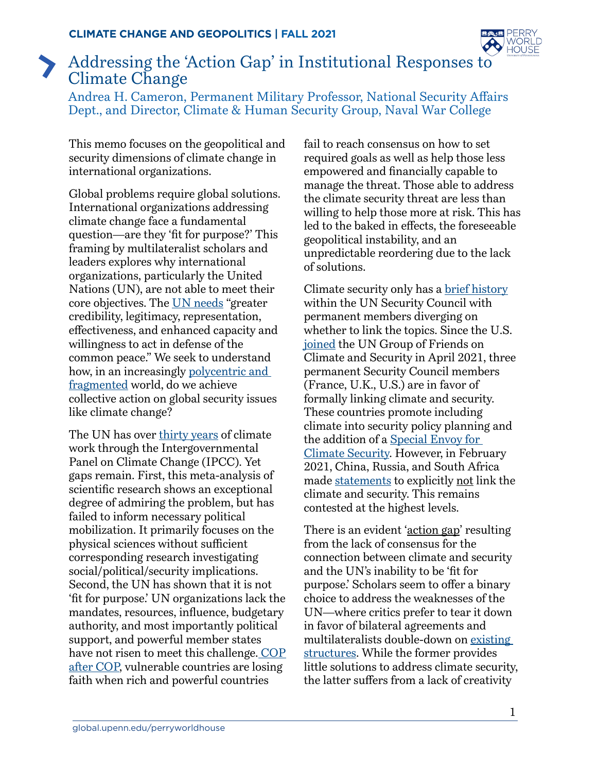

## Addressing the 'Action Gap' in Institutional Responses to Climate Change

Andrea H. Cameron, Permanent Military Professor, National Security Affairs Dept., and Director, Climate & Human Security Group, Naval War College

This memo focuses on the geopolitical and security dimensions of climate change in international organizations.

Global problems require global solutions. International organizations addressing climate change face a fundamental question—are they 'fit for purpose?' This framing by multilateralist scholars and leaders explores why international organizations, particularly the United Nations (UN), are not able to meet their core objectives. The [UN needs](https://valdaiclub.com/a/highlights/the-un-security-council-at-75-less-and-less-fit/) "greater credibility, legitimacy, representation, effectiveness, and enhanced capacity and willingness to act in defense of the common peace." We seek to understand how, in an increasingly [polycentric and](https://www.dni.gov/files/ODNI/documents/assessments/GlobalTrends_2040.pdf)  [fragmented](https://www.dni.gov/files/ODNI/documents/assessments/GlobalTrends_2040.pdf) world, do we achieve collective action on global security issues like climate change?

The UN has over [thirty years](http://blogs.shu.edu/journalofdiplomacy/files/2019/03/Werrell-and-Femia.pdf) of climate work through the Intergovernmental Panel on Climate Change (IPCC). Yet gaps remain. First, this meta-analysis of scientific research shows an exceptional degree of admiring the problem, but has failed to inform necessary political mobilization. It primarily focuses on the physical sciences without sufficient corresponding research investigating social/political/security implications. Second, the UN has shown that it is not 'fit for purpose.' UN organizations lack the mandates, resources, influence, budgetary authority, and most importantly political support, and powerful member states have not risen to meet this challenge. [COP](https://www.climatechangenews.com/2019/12/17/vulnerable-un-climate-talks-no-longer-fit-purpose/) [after COP](https://www.climatechangenews.com/2019/12/17/vulnerable-un-climate-talks-no-longer-fit-purpose/), vulnerable countries are losing faith when rich and powerful countries

fail to reach consensus on how to set required goals as well as help those less empowered and financially capable to manage the threat. Those able to address the climate security threat are less than willing to help those more at risk. This has led to the baked in effects, the foreseeable geopolitical instability, and an unpredictable reordering due to the lack of solutions.

Climate security only has a **brief history** within the UN Security Council with permanent members diverging on whether to link the topics. Since the U.S. [joined](https://usun.usmission.gov/remarks-at-a-joint-un-security-council-stakeout-with-germany-and-nauru-on-the-united-states-joining-the-un-group-of-friends-on-climate-and-security/) the UN Group of Friends on Climate and Security in April 2021, three permanent Security Council members (France, U.K., U.S.) are in favor of formally linking climate and security. These countries promote including climate into security policy planning and the addition of a [Special Envoy for](https://www.reuters.com/article/us-climate-security-france/frances-macron-proposes-appointment-of-un-climate-security-envoy-idUSKBN2AN1R3)  [Climate Security](https://www.reuters.com/article/us-climate-security-france/frances-macron-proposes-appointment-of-un-climate-security-envoy-idUSKBN2AN1R3). However, in February 2021, China, Russia, and South Africa made [statements](https://www.newamerica.org/resource-security/natural-security-blog/climate-change-peace-and-security-and-the-un-group-of-friends/) to explicitly not link the climate and security. This remains contested at the highest levels.

There is an evident 'action gap' resulting from the lack of consensus for the connection between climate and security and the UN's inability to be 'fit for purpose.' Scholars seem to offer a binary choice to address the weaknesses of the UN—where critics prefer to tear it down in favor of bilateral agreements and multilateralists double-down on [existing](https://unsdg.un.org/latest/blog/making-un-fit-purpose)  [structures](https://unsdg.un.org/latest/blog/making-un-fit-purpose). While the former provides little solutions to address climate security, the latter suffers from a lack of creativity